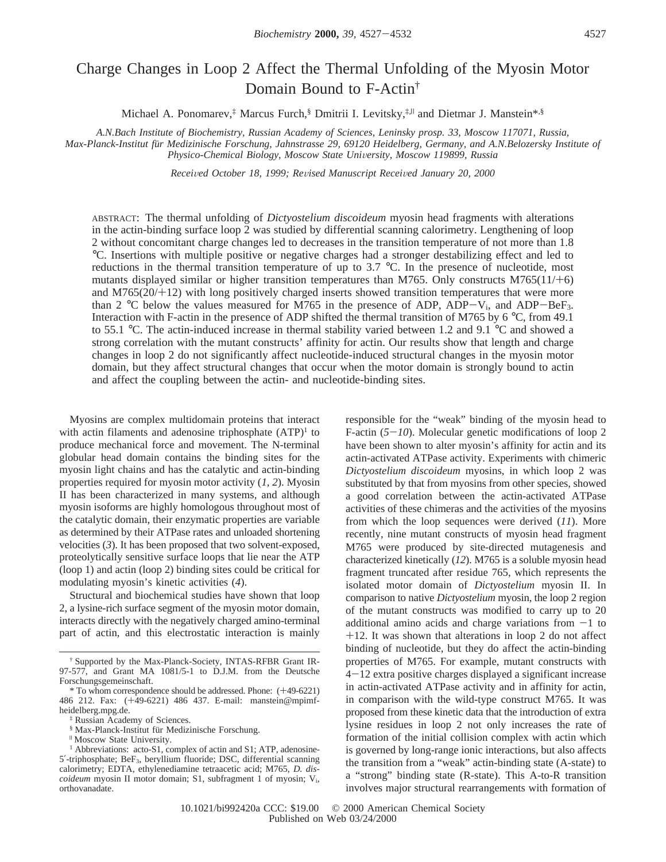# Charge Changes in Loop 2 Affect the Thermal Unfolding of the Myosin Motor Domain Bound to F-Actin†

Michael A. Ponomarev,<sup>‡</sup> Marcus Furch,<sup>§</sup> Dmitrii I. Levitsky,<sup>‡,||</sup> and Dietmar J. Manstein<sup>\*,§</sup>

*A.N.Bach Institute of Biochemistry, Russian Academy of Sciences, Leninsky prosp. 33, Moscow 117071, Russia, Max-Planck-Institut fu*¨*r Medizinische Forschung, Jahnstrasse 29, 69120 Heidelberg, Germany, and A.N.Belozersky Institute of Physico-Chemical Biology, Moscow State University, Moscow 119899, Russia* 

*Recei*V*ed October 18, 1999; Re*V*ised Manuscript Recei*V*ed January 20, 2000*

ABSTRACT: The thermal unfolding of *Dictyostelium discoideum* myosin head fragments with alterations in the actin-binding surface loop 2 was studied by differential scanning calorimetry. Lengthening of loop 2 without concomitant charge changes led to decreases in the transition temperature of not more than 1.8 °C. Insertions with multiple positive or negative charges had a stronger destabilizing effect and led to reductions in the thermal transition temperature of up to 3.7 °C. In the presence of nucleotide, most mutants displayed similar or higher transition temperatures than M765. Only constructs M765(11/+6) and M765(20/+12) with long positively charged inserts showed transition temperatures that were more than 2  $\degree$ C below the values measured for M765 in the presence of ADP, ADP-V<sub>i</sub>, and ADP-BeF<sub>3</sub>. Interaction with F-actin in the presence of ADP shifted the thermal transition of M765 by 6 °C, from 49.1 to 55.1 °C. The actin-induced increase in thermal stability varied between 1.2 and 9.1 °C and showed a strong correlation with the mutant constructs' affinity for actin. Our results show that length and charge changes in loop 2 do not significantly affect nucleotide-induced structural changes in the myosin motor domain, but they affect structural changes that occur when the motor domain is strongly bound to actin and affect the coupling between the actin- and nucleotide-binding sites.

Myosins are complex multidomain proteins that interact with actin filaments and adenosine triphosphate  $(ATP)^1$  to produce mechanical force and movement. The N-terminal globular head domain contains the binding sites for the myosin light chains and has the catalytic and actin-binding properties required for myosin motor activity (*1, 2*). Myosin II has been characterized in many systems, and although myosin isoforms are highly homologous throughout most of the catalytic domain, their enzymatic properties are variable as determined by their ATPase rates and unloaded shortening velocities (*3*). It has been proposed that two solvent-exposed, proteolytically sensitive surface loops that lie near the ATP (loop 1) and actin (loop 2) binding sites could be critical for modulating myosin's kinetic activities (*4*).

Structural and biochemical studies have shown that loop 2, a lysine-rich surface segment of the myosin motor domain, interacts directly with the negatively charged amino-terminal part of actin, and this electrostatic interaction is mainly responsible for the "weak" binding of the myosin head to F-actin (*5*-*10*). Molecular genetic modifications of loop 2 have been shown to alter myosin's affinity for actin and its actin-activated ATPase activity. Experiments with chimeric *Dictyostelium discoideum* myosins, in which loop 2 was substituted by that from myosins from other species, showed a good correlation between the actin-activated ATPase activities of these chimeras and the activities of the myosins from which the loop sequences were derived (*11*). More recently, nine mutant constructs of myosin head fragment M765 were produced by site-directed mutagenesis and characterized kinetically (*12*). M765 is a soluble myosin head fragment truncated after residue 765, which represents the isolated motor domain of *Dictyostelium* myosin II. In comparison to native *Dictyostelium* myosin, the loop 2 region of the mutant constructs was modified to carry up to 20 additional amino acids and charge variations from  $-1$  to  $+12$ . It was shown that alterations in loop 2 do not affect binding of nucleotide, but they do affect the actin-binding properties of M765. For example, mutant constructs with <sup>4</sup>-12 extra positive charges displayed a significant increase in actin-activated ATPase activity and in affinity for actin, in comparison with the wild-type construct M765. It was proposed from these kinetic data that the introduction of extra lysine residues in loop 2 not only increases the rate of formation of the initial collision complex with actin which is governed by long-range ionic interactions, but also affects the transition from a "weak" actin-binding state (A-state) to a "strong" binding state (R-state). This A-to-R transition involves major structural rearrangements with formation of

<sup>†</sup> Supported by the Max-Planck-Society, INTAS-RFBR Grant IR-97-577, and Grant MA 1081/5-1 to D.J.M. from the Deutsche Forschungsgemeinschaft.<br>
\* To whom correspondence should be addressed. Phone: (+49-6221)

<sup>\*</sup> To whom correspondence should be addressed. Phone:  $(+49-6221)$ <br>6. 212. Fax:  $(+49-6221)$  486. 437. E-mail: manstein@mpimf-486 212. Fax: (+49-6221) 486 437. E-mail: manstein@mpimfheidelberg.mpg.de.

<sup>‡</sup> Russian Academy of Sciences.

<sup>§</sup> Max-Planck-Institut fu¨r Medizinische Forschung. <sup>|</sup> Moscow State University.

<sup>&</sup>lt;sup>1</sup> Abbreviations: acto-S1, complex of actin and S1; ATP, adenosine-5′-triphosphate; BeF3, beryllium fluoride; DSC, differential scanning calorimetry; EDTA, ethylenediamine tetraacetic acid; M765, *D. discoideum* myosin II motor domain; S1, subfragment 1 of myosin; Vi, orthovanadate.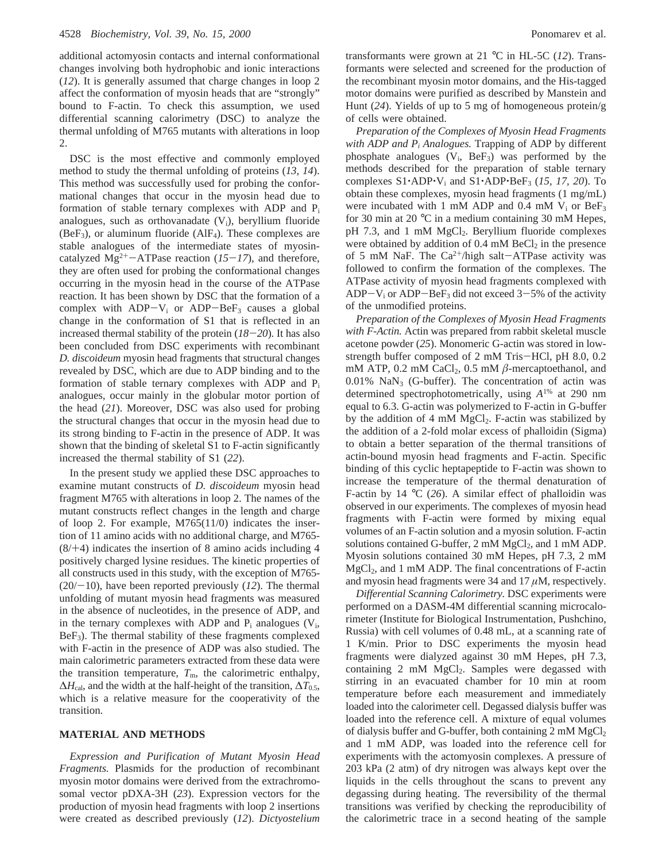additional actomyosin contacts and internal conformational changes involving both hydrophobic and ionic interactions (*12*). It is generally assumed that charge changes in loop 2 affect the conformation of myosin heads that are "strongly" bound to F-actin. To check this assumption, we used differential scanning calorimetry (DSC) to analyze the thermal unfolding of M765 mutants with alterations in loop 2.

DSC is the most effective and commonly employed method to study the thermal unfolding of proteins (*13, 14*). This method was successfully used for probing the conformational changes that occur in the myosin head due to formation of stable ternary complexes with ADP and Pi analogues, such as orthovanadate  $(V_i)$ , beryllium fluoride  $(BeF_3)$ , or aluminum fluoride (AlF<sub>4</sub>). These complexes are stable analogues of the intermediate states of myosincatalyzed  $Mg^{2+}$ -ATPase reaction (*15*-*17*), and therefore, they are often used for probing the conformational changes occurring in the myosin head in the course of the ATPase reaction. It has been shown by DSC that the formation of a complex with  $ADP-V_i$  or  $ADP-BeF_3$  causes a global change in the conformation of S1 that is reflected in an increased thermal stability of the protein (*18*-*20*). It has also been concluded from DSC experiments with recombinant *D. discoideum* myosin head fragments that structural changes revealed by DSC, which are due to ADP binding and to the formation of stable ternary complexes with ADP and Pi analogues, occur mainly in the globular motor portion of the head (*21*). Moreover, DSC was also used for probing the structural changes that occur in the myosin head due to its strong binding to F-actin in the presence of ADP. It was shown that the binding of skeletal S1 to F-actin significantly increased the thermal stability of S1 (*22*).

In the present study we applied these DSC approaches to examine mutant constructs of *D. discoideum* myosin head fragment M765 with alterations in loop 2. The names of the mutant constructs reflect changes in the length and charge of loop 2. For example, M765(11/0) indicates the insertion of 11 amino acids with no additional charge, and M765-  $(8/44)$  indicates the insertion of 8 amino acids including 4 positively charged lysine residues. The kinetic properties of all constructs used in this study, with the exception of M765-  $(20/-10)$ , have been reported previously  $(12)$ . The thermal unfolding of mutant myosin head fragments was measured in the absence of nucleotides, in the presence of ADP, and in the ternary complexes with ADP and  $P_i$  analogues ( $V_i$ ,  $BeF<sub>3</sub>$ ). The thermal stability of these fragments complexed with F-actin in the presence of ADP was also studied. The main calorimetric parameters extracted from these data were the transition temperature,  $T<sub>m</sub>$ , the calorimetric enthalpy,  $\Delta H_{\text{cal}}$ , and the width at the half-height of the transition,  $\Delta T_{0.5}$ , which is a relative measure for the cooperativity of the transition.

# **MATERIAL AND METHODS**

*Expression and Purification of Mutant Myosin Head Fragments.* Plasmids for the production of recombinant myosin motor domains were derived from the extrachromosomal vector pDXA-3H (*23*). Expression vectors for the production of myosin head fragments with loop 2 insertions were created as described previously (*12*). *Dictyostelium*

transformants were grown at 21 °C in HL-5C (*12*). Transformants were selected and screened for the production of the recombinant myosin motor domains, and the His-tagged motor domains were purified as described by Manstein and Hunt (*24*). Yields of up to 5 mg of homogeneous protein/g of cells were obtained.

*Preparation of the Complexes of Myosin Head Fragments with ADP and Pi Analogues.* Trapping of ADP by different phosphate analogues  $(V_i, BeF_3)$  was performed by the methods described for the preparation of stable ternary complexes  $S1$ <sup>-</sup>ADP<sup>-</sup>V<sub>i</sub> and  $S1$ <sup>-</sup>ADP<sup>-</sup>BeF<sub>3</sub> (15, 17, 20). To obtain these complexes, myosin head fragments (1 mg/mL) were incubated with 1 mM ADP and 0.4 mM  $V_i$  or BeF<sub>3</sub> for 30 min at 20 °C in a medium containing 30 mM Hepes, pH 7.3, and 1 mM MgCl<sub>2</sub>. Beryllium fluoride complexes were obtained by addition of  $0.4 \text{ mM}$  BeCl<sub>2</sub> in the presence of 5 mM NaF. The Ca<sup>2+</sup>/high salt-ATPase activity was followed to confirm the formation of the complexes. The ATPase activity of myosin head fragments complexed with ADP-V<sub>i</sub> or ADP-BeF<sub>3</sub> did not exceed  $3-5%$  of the activity of the unmodified proteins.

*Preparation of the Complexes of Myosin Head Fragments with F-Actin.* Actin was prepared from rabbit skeletal muscle acetone powder (*25*). Monomeric G-actin was stored in lowstrength buffer composed of 2 mM Tris-HCl, pH 8.0, 0.2 mM ATP,  $0.2$  mM CaCl<sub>2</sub>,  $0.5$  mM  $\beta$ -mercaptoethanol, and  $0.01\%$  NaN<sub>3</sub> (G-buffer). The concentration of actin was determined spectrophotometrically, using *A*1% at 290 nm equal to 6.3. G-actin was polymerized to F-actin in G-buffer by the addition of 4 mM  $MgCl<sub>2</sub>$ . F-actin was stabilized by the addition of a 2-fold molar excess of phalloidin (Sigma) to obtain a better separation of the thermal transitions of actin-bound myosin head fragments and F-actin. Specific binding of this cyclic heptapeptide to F-actin was shown to increase the temperature of the thermal denaturation of F-actin by 14 °C (*26*). A similar effect of phalloidin was observed in our experiments. The complexes of myosin head fragments with F-actin were formed by mixing equal volumes of an F-actin solution and a myosin solution. F-actin solutions contained G-buffer, 2 mM MgCl<sub>2</sub>, and 1 mM ADP. Myosin solutions contained 30 mM Hepes, pH 7.3, 2 mM MgCl<sub>2</sub>, and 1 mM ADP. The final concentrations of F-actin and myosin head fragments were 34 and 17 *µ*M, respectively.

*Differential Scanning Calorimetry.* DSC experiments were performed on a DASM-4M differential scanning microcalorimeter (Institute for Biological Instrumentation, Pushchino, Russia) with cell volumes of 0.48 mL, at a scanning rate of 1 K/min. Prior to DSC experiments the myosin head fragments were dialyzed against 30 mM Hepes, pH 7.3, containing  $2 \text{ mM } MgCl<sub>2</sub>$ . Samples were degassed with stirring in an evacuated chamber for 10 min at room temperature before each measurement and immediately loaded into the calorimeter cell. Degassed dialysis buffer was loaded into the reference cell. A mixture of equal volumes of dialysis buffer and G-buffer, both containing  $2 \text{ mM } MgCl_2$ and 1 mM ADP, was loaded into the reference cell for experiments with the actomyosin complexes. A pressure of 203 kPa (2 atm) of dry nitrogen was always kept over the liquids in the cells throughout the scans to prevent any degassing during heating. The reversibility of the thermal transitions was verified by checking the reproducibility of the calorimetric trace in a second heating of the sample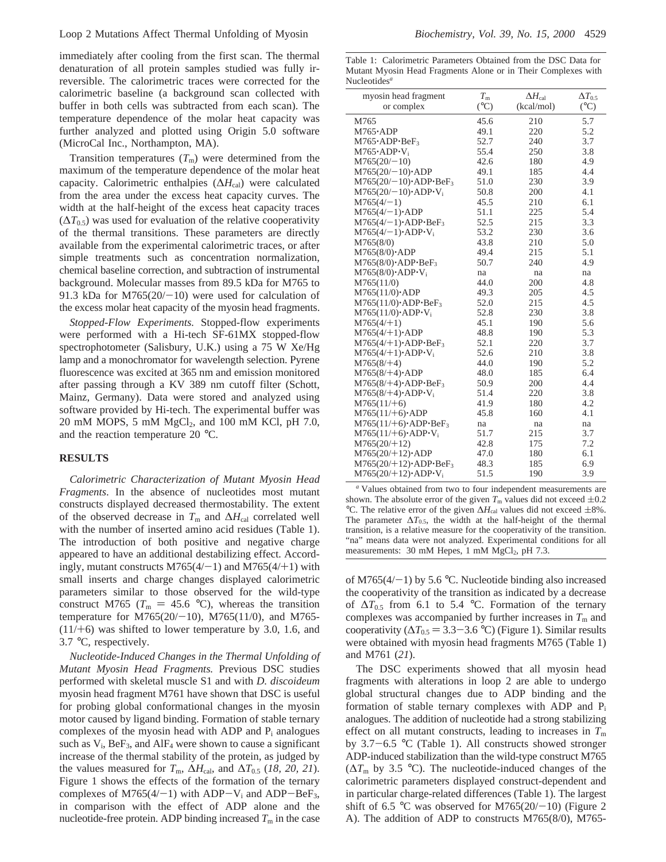immediately after cooling from the first scan. The thermal denaturation of all protein samples studied was fully irreversible. The calorimetric traces were corrected for the calorimetric baseline (a background scan collected with buffer in both cells was subtracted from each scan). The temperature dependence of the molar heat capacity was further analyzed and plotted using Origin 5.0 software (MicroCal Inc., Northampton, MA).

Transition temperatures  $(T<sub>m</sub>)$  were determined from the maximum of the temperature dependence of the molar heat capacity. Calorimetric enthalpies (ΔH<sub>cal</sub>) were calculated from the area under the excess heat capacity curves. The width at the half-height of the excess heat capacity traces  $(\Delta T_{0.5})$  was used for evaluation of the relative cooperativity of the thermal transitions. These parameters are directly available from the experimental calorimetric traces, or after simple treatments such as concentration normalization, chemical baseline correction, and subtraction of instrumental background. Molecular masses from 89.5 kDa for M765 to 91.3 kDa for  $M765(20/-10)$  were used for calculation of the excess molar heat capacity of the myosin head fragments.

*Stopped-Flow Experiments.* Stopped-flow experiments were performed with a Hi-tech SF-61MX stopped-flow spectrophotometer (Salisbury, U.K.) using a 75 W Xe/Hg lamp and a monochromator for wavelength selection. Pyrene fluorescence was excited at 365 nm and emission monitored after passing through a KV 389 nm cutoff filter (Schott, Mainz, Germany). Data were stored and analyzed using software provided by Hi-tech. The experimental buffer was 20 mM MOPS, 5 mM MgCl<sub>2</sub>, and 100 mM KCl, pH 7.0, and the reaction temperature 20 °C.

### **RESULTS**

*Calorimetric Characterization of Mutant Myosin Head Fragments*. In the absence of nucleotides most mutant constructs displayed decreased thermostability. The extent of the observed decrease in  $T<sub>m</sub>$  and  $\Delta H<sub>cal</sub>$  correlated well with the number of inserted amino acid residues (Table 1). The introduction of both positive and negative charge appeared to have an additional destabilizing effect. Accordingly, mutant constructs  $M765(4/-1)$  and  $M765(4/+1)$  with small inserts and charge changes displayed calorimetric parameters similar to those observed for the wild-type construct M765 ( $T_m = 45.6$  °C), whereas the transition temperature for M765(20/ $-10$ ), M765(11/0), and M765- $(11/+6)$  was shifted to lower temperature by 3.0, 1.6, and 3.7 °C, respectively.

*Nucleotide-Induced Changes in the Thermal Unfolding of Mutant Myosin Head Fragments.* Previous DSC studies performed with skeletal muscle S1 and with *D. discoideum* myosin head fragment M761 have shown that DSC is useful for probing global conformational changes in the myosin motor caused by ligand binding. Formation of stable ternary complexes of the myosin head with ADP and  $P_i$  analogues such as  $V_i$ , Be $F_3$ , and Al $F_4$  were shown to cause a significant increase of the thermal stability of the protein, as judged by the values measured for  $T_{\text{m}}$ ,  $\Delta H_{\text{cal}}$ , and  $\Delta T_{0.5}$  (*18, 20, 21*). Figure 1 shows the effects of the formation of the ternary complexes of M765(4/-1) with ADP-V<sub>i</sub> and ADP-BeF<sub>3</sub>, in comparison with the effect of ADP alone and the nucleotide-free protein. ADP binding increased  $T<sub>m</sub>$  in the case

Table 1: Calorimetric Parameters Obtained from the DSC Data for Mutant Myosin Head Fragments Alone or in Their Complexes with Nucleotides*<sup>a</sup>*

| myosin head fragment                                                       | $T_{\rm m}$     | $\Delta H_{\rm cal}$ | $\Delta T_{0.5}$ |  |  |  |
|----------------------------------------------------------------------------|-----------------|----------------------|------------------|--|--|--|
| or complex                                                                 | $({}^{\circ}C)$ | (kcal/mol)           | $(^{\circ}C)$    |  |  |  |
| M765                                                                       | 45.6            | 210                  | 5.7              |  |  |  |
| $M765 \cdot ADP$                                                           | 49.1            | 220                  | 5.2              |  |  |  |
| M765·ADP·BeF <sub>3</sub>                                                  | 52.7            | 240                  | 3.7              |  |  |  |
| $M765 \cdot ADP \cdot V_i$                                                 | 55.4            | 250                  | 3.8              |  |  |  |
|                                                                            |                 | 180                  |                  |  |  |  |
| $M765(20/-10)$                                                             | 42.6            |                      | 4.9              |  |  |  |
| $M765(20/-10)$ .ADP                                                        | 49.1            | 185                  | 4.4              |  |  |  |
| $M765(20/-10) \cdot ADP \cdot BeF_3$                                       | 51.0            | 230                  | 3.9              |  |  |  |
| $M765(20/-10)\cdot ADP\cdot V_i$                                           | 50.8            | 200                  | 4.1              |  |  |  |
| $M765(4/-1)$                                                               | 45.5            | 210                  | 6.1              |  |  |  |
| $M765(4/-1)$ .ADP                                                          | 51.1            | 225                  | 5.4              |  |  |  |
| $M765(4/-1) \cdot ADP \cdot BeF_3$                                         | 52.5            | 215                  | 3.3              |  |  |  |
| $M765(4/-1)\cdot ADP\cdot V_i$                                             | 53.2            | 230                  | 3.6              |  |  |  |
| M765(8/0)                                                                  | 43.8            | 210                  | 5.0              |  |  |  |
| $M765(8/0)$ ·ADP                                                           | 49.4            | 215                  | 5.1              |  |  |  |
| $M765(8/0) \cdot ADP \cdot BeF_3$                                          | 50.7            | 240                  | 4.9              |  |  |  |
| $M765(8/0) \cdot ADP \cdot V_i$                                            | na              | na                   | na               |  |  |  |
| M765(11/0)                                                                 | 44.0            | 200                  | 4.8              |  |  |  |
| $M765(11/0)$ ·ADP                                                          | 49.3            | 205                  | 4.5              |  |  |  |
| $M765(11/0) \cdot ADP \cdot BeF_3$                                         | 52.0            | 215                  | 4.5              |  |  |  |
| $M765(11/0)\cdot ADP\cdot V_i$                                             | 52.8            | 230                  | 3.8              |  |  |  |
| $M765(4/+1)$                                                               | 45.1            | 190                  | 5.6              |  |  |  |
| $M765(4/+1)\cdot ADP$                                                      | 48.8            | 190                  | 5.3              |  |  |  |
| $M765(4/+1) \cdot ADP \cdot BeF_3$                                         | 52.1            | 220                  | 3.7              |  |  |  |
| $M765(4/+1)\cdot ADP\cdot V_i$                                             | 52.6            | 210                  | 3.8              |  |  |  |
| $M765(8/+4)$                                                               | 44.0            | 190                  | 5.2              |  |  |  |
| $M765(8/+4) \cdot ADP$                                                     | 48.0            | 185                  | 6.4              |  |  |  |
| $M765(8/+4) \cdot ADP \cdot BeF_3$                                         | 50.9            | 200                  | 4.4              |  |  |  |
| $M765(8/+4)\cdot ADP\cdot V_i$                                             | 51.4            | 220                  | 3.8              |  |  |  |
| $M765(11/+6)$                                                              | 41.9            | 180                  | 4.2              |  |  |  |
| $M765(11/+6) \cdot ADP$                                                    | 45.8            | 160                  | 4.1              |  |  |  |
| $M765(11/+6)\cdot ADP\cdot BeF_3$                                          | na              | na                   | na               |  |  |  |
| $M765(11/+6)\cdot ADP\cdot V_i$                                            | 51.7            | 215                  | 3.7              |  |  |  |
| $M765(20/+12)$                                                             | 42.8            | 175                  | 7.2              |  |  |  |
| $M765(20/+12) \cdot ADP$                                                   | 47.0            | 180                  | 6.1              |  |  |  |
| $M765(20/+12) \cdot ADP \cdot BeF_3$                                       | 48.3            | 185                  | 6.9              |  |  |  |
| $M765(20/+12) \cdot ADP \cdot V_i$                                         | 51.5            | 190                  | 3.9              |  |  |  |
| <sup>a</sup> Values obtained from two to four independent measurements are |                 |                      |                  |  |  |  |

shown. The absolute error of the given  $T<sub>m</sub>$  values did not exceed  $\pm 0.2$ °C. The relative error of the given  $\Delta H_{\text{cal}}$  values did not exceed  $\pm 8\%$ . The parameter  $\Delta T_{0.5}$ , the width at the half-height of the thermal transition, is a relative measure for the cooperativity of the transition. "na" means data were not analyzed. Experimental conditions for all measurements: 30 mM Hepes, 1 mM MgCl<sub>2</sub>, pH 7.3.

of M765(4/ $-1$ ) by 5.6 °C. Nucleotide binding also increased the cooperativity of the transition as indicated by a decrease of  $\Delta T_{0.5}$  from 6.1 to 5.4 °C. Formation of the ternary complexes was accompanied by further increases in  $T<sub>m</sub>$  and cooperativity ( $\Delta T_{0.5} = 3.3 - 3.6$  °C) (Figure 1). Similar results were obtained with myosin head fragments M765 (Table 1) and M761 (*21*).

The DSC experiments showed that all myosin head fragments with alterations in loop 2 are able to undergo global structural changes due to ADP binding and the formation of stable ternary complexes with ADP and Pi analogues. The addition of nucleotide had a strong stabilizing effect on all mutant constructs, leading to increases in  $T<sub>m</sub>$ by 3.7-6.5 °C (Table 1). All constructs showed stronger ADP-induced stabilization than the wild-type construct M765  $(\Delta T_{\rm m}$  by 3.5 °C). The nucleotide-induced changes of the calorimetric parameters displayed construct-dependent and in particular charge-related differences (Table 1). The largest shift of 6.5 °C was observed for M765(20/-10) (Figure 2 A). The addition of ADP to constructs M765(8/0), M765-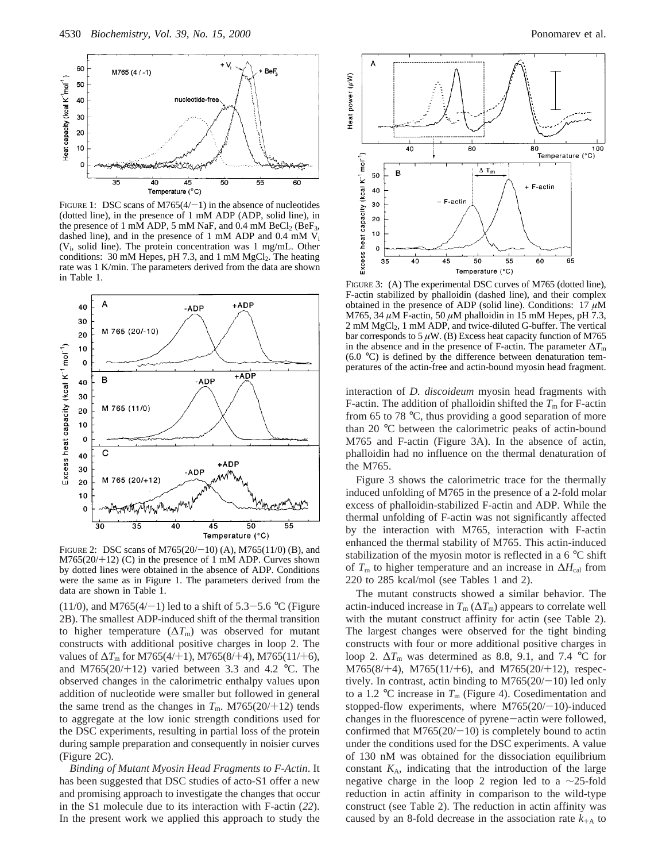

FIGURE 1: DSC scans of  $M765(4/-1)$  in the absence of nucleotides (dotted line), in the presence of 1 mM ADP (ADP, solid line), in the presence of 1 mM ADP, 5 mM NaF, and 0.4 mM BeCl<sub>2</sub> (BeF<sub>3</sub>, dashed line), and in the presence of 1 mM ADP and 0.4 mM Vi  $(V_i,$  solid line). The protein concentration was 1 mg/mL. Other conditions: 30 mM Hepes, pH 7.3, and 1 mM  $MgCl<sub>2</sub>$ . The heating rate was 1 K/min. The parameters derived from the data are shown in Table 1.



FIGURE 2: DSC scans of M765(20/-10) (A), M765(11/0) (B), and  $M765(20/12)$  (C) in the presence of 1 mM ADP. Curves shown by dotted lines were obtained in the absence of ADP. Conditions were the same as in Figure 1. The parameters derived from the data are shown in Table 1.

(11/0), and M765(4/-1) led to a shift of  $5.3-5.6$  °C (Figure 2B). The smallest ADP-induced shift of the thermal transition to higher temperature  $(\Delta T_m)$  was observed for mutant constructs with additional positive charges in loop 2. The values of  $\Delta T_{\rm m}$  for M765(4/+1), M765(8/+4), M765(11/+6), and M765(20/ $+12$ ) varied between 3.3 and 4.2 °C. The observed changes in the calorimetric enthalpy values upon addition of nucleotide were smaller but followed in general the same trend as the changes in  $T<sub>m</sub>$ . M765(20/+12) tends to aggregate at the low ionic strength conditions used for the DSC experiments, resulting in partial loss of the protein during sample preparation and consequently in noisier curves (Figure 2C).

*Binding of Mutant Myosin Head Fragments to F-Actin*. It has been suggested that DSC studies of acto-S1 offer a new and promising approach to investigate the changes that occur in the S1 molecule due to its interaction with F-actin (*22*). In the present work we applied this approach to study the



+ F-actin

 $\Delta$  T<sub>m</sub>

 $-$  F-actin

A

B

50

40

Heat power (µW)

Excess heat capacity (kcal K<sup>-1</sup> mol<sup>-1</sup>) 35 40 45 50 55 60 65 Temperature (°C) FIGURE 3: (A) The experimental DSC curves of M765 (dotted line), F-actin stabilized by phalloidin (dashed line), and their complex obtained in the presence of ADP (solid line). Conditions:  $17 \mu M$ M765, 34 *µ*M F-actin, 50 *µ*M phalloidin in 15 mM Hepes, pH 7.3, 2 mM MgCl<sub>2</sub>, 1 mM ADP, and twice-diluted G-buffer. The vertical bar corresponds to  $5 \mu W$ . (B) Excess heat capacity function of M765 in the absence and in the presence of F-actin. The parameter  $\Delta T_{\text{m}}$  $(6.0 \degree C)$  is defined by the difference between denaturation temperatures of the actin-free and actin-bound myosin head fragment.

interaction of *D. discoideum* myosin head fragments with F-actin. The addition of phalloidin shifted the  $T<sub>m</sub>$  for F-actin from 65 to 78 °C, thus providing a good separation of more than 20 °C between the calorimetric peaks of actin-bound M765 and F-actin (Figure 3A). In the absence of actin, phalloidin had no influence on the thermal denaturation of the M765.

Figure 3 shows the calorimetric trace for the thermally induced unfolding of M765 in the presence of a 2-fold molar excess of phalloidin-stabilized F-actin and ADP. While the thermal unfolding of F-actin was not significantly affected by the interaction with M765, interaction with F-actin enhanced the thermal stability of M765. This actin-induced stabilization of the myosin motor is reflected in a 6 °C shift of  $T<sub>m</sub>$  to higher temperature and an increase in  $\Delta H<sub>cal</sub>$  from 220 to 285 kcal/mol (see Tables 1 and 2).

The mutant constructs showed a similar behavior. The actin-induced increase in  $T_m(\Delta T_m)$  appears to correlate well with the mutant construct affinity for actin (see Table 2). The largest changes were observed for the tight binding constructs with four or more additional positive charges in loop 2.  $\Delta T_{\text{m}}$  was determined as 8.8, 9.1, and 7.4 °C for M765(8/+4), M765(11/+6), and M765(20/+12), respectively. In contrast, actin binding to  $M765(20/-10)$  led only to a 1.2 °C increase in  $T_m$  (Figure 4). Cosedimentation and stopped-flow experiments, where  $M765(20/-10)$ -induced changes in the fluorescence of pyrene-actin were followed, confirmed that  $M765(20/-10)$  is completely bound to actin under the conditions used for the DSC experiments. A value of 130 nM was obtained for the dissociation equilibrium constant  $K_A$ , indicating that the introduction of the large negative charge in the loop 2 region led to a ∼25-fold reduction in actin affinity in comparison to the wild-type construct (see Table 2). The reduction in actin affinity was caused by an 8-fold decrease in the association rate  $k_{+A}$  to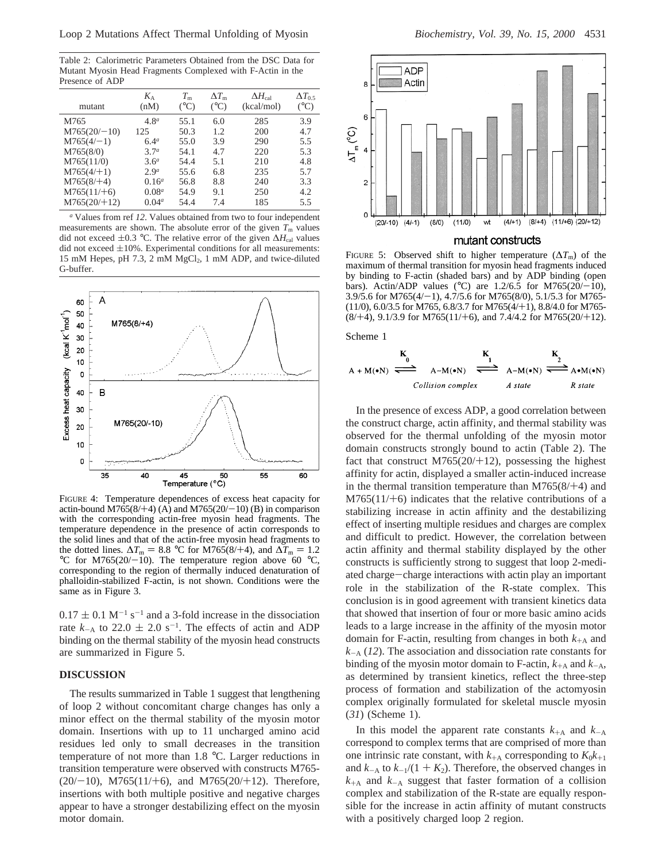Table 2: Calorimetric Parameters Obtained from the DSC Data for Mutant Myosin Head Fragments Complexed with F-Actin in the Presence of ADP

| mutant         | $K_{\rm A}$<br>(nM) | $T_{\rm m}$<br>$(^{\circ}C)$ | $\Delta T_{\rm m}$<br>$(^{\circ}C)$ | $\Delta H_{\rm cal}$<br>(kcal/mol) | $\Delta T_{0.5}$<br>$(^{\circ}C)$ |
|----------------|---------------------|------------------------------|-------------------------------------|------------------------------------|-----------------------------------|
| M765           | 4.8 <sup>a</sup>    | 55.1                         | 6.0                                 | 285                                | 3.9                               |
| $M765(20/-10)$ | 125                 | 50.3                         | 1.2                                 | 200                                | 4.7                               |
| $M765(4/-1)$   | 6.4 <sup>a</sup>    | 55.0                         | 3.9                                 | 290                                | 5.5                               |
| M765(8/0)      | 3.7 <sup>a</sup>    | 54.1                         | 4.7                                 | 220                                | 5.3                               |
| M765(11/0)     | 3.6 <sup>a</sup>    | 54.4                         | 5.1                                 | 210                                | 4.8                               |
| $M765(4/+1)$   | 2.9 <sup>a</sup>    | 55.6                         | 6.8                                 | 235                                | 5.7                               |
| $M765(8/+4)$   | $0.16^a$            | 56.8                         | 8.8                                 | 240                                | 3.3                               |
| $M765(11/+6)$  | $0.08^{a}$          | 54.9                         | 9.1                                 | 250                                | 4.2                               |
| M765(20/12)    | $0.04^a$            | 54.4                         | 7.4                                 | 185                                | 5.5                               |
|                |                     |                              |                                     |                                    |                                   |

*<sup>a</sup>* Values from ref *12*. Values obtained from two to four independent measurements are shown. The absolute error of the given  $T_{\text{m}}$  values did not exceed ±0.3 °C. The relative error of the given ∆*H*<sub>cal</sub> values did not exceed  $\pm 10$ %. Experimental conditions for all measurements: 15 mM Hepes, pH 7.3, 2 mM MgCl<sub>2</sub>, 1 mM ADP, and twice-diluted G-buffer.



FIGURE 4: Temperature dependences of excess heat capacity for actin-bound M765(8/+4) (A) and M765(20/-10) (B) in comparison with the corresponding actin-free myosin head fragments. The temperature dependence in the presence of actin corresponds to the solid lines and that of the actin-free myosin head fragments to the dotted lines.  $\Delta T_{\text{m}} = 8.8$  °C for M765(8/+4), and  $\Delta T_{\text{m}} = 1.2$ °C for M765(20/-10). The temperature region above 60 °C, corresponding to the region of thermally induced denaturation of phalloidin-stabilized F-actin, is not shown. Conditions were the same as in Figure 3.

 $0.17 \pm 0.1$  M<sup>-1</sup> s<sup>-1</sup> and a 3-fold increase in the dissociation rate  $k_{\text{A}}$  to 22.0  $\pm$  2.0 s<sup>-1</sup>. The effects of actin and ADP<br>binding on the thermal stability of the myosin head constructs binding on the thermal stability of the myosin head constructs are summarized in Figure 5.

# **DISCUSSION**

The results summarized in Table 1 suggest that lengthening of loop 2 without concomitant charge changes has only a minor effect on the thermal stability of the myosin motor domain. Insertions with up to 11 uncharged amino acid residues led only to small decreases in the transition temperature of not more than 1.8 °C. Larger reductions in transition temperature were observed with constructs M765-  $(20/-10)$ , M765 $(11/+6)$ , and M765 $(20/+12)$ . Therefore, insertions with both multiple positive and negative charges appear to have a stronger destabilizing effect on the myosin motor domain.



# mutant constructs

FIGURE 5: Observed shift to higher temperature  $(\Delta T_m)$  of the maximum of thermal transition for myosin head fragments induced by binding to F-actin (shaded bars) and by ADP binding (open bars). Actin/ADP values (°C) are 1.2/6.5 for M765(20/-10), 3.9/5.6 for M765(4/-1), 4.7/5.6 for M765(8/0), 5.1/5.3 for M765-(11/0), 6.0/3.5 for M765, 6.8/3.7 for M765(4/+1), 8.8/4.0 for M765-  $(8/+4)$ , 9.1/3.9 for M765(11/+6), and 7.4/4.2 for M765(20/+12).

Scheme 1

$$
A + M(\bullet N) \xrightarrow{\begin{array}{c} K_0 \\ \hline \downarrow \\ \hline \downarrow \\ \hline \downarrow \\ \hline \downarrow \\ \hline \downarrow \\ \hline \downarrow \\ \hline \end{array}} A - M(\bullet N) \xrightarrow{\begin{array}{c} K_1 \\ \hline \downarrow \\ \hline \\ \hline \downarrow \\ \hline \end{array}} A - M(\bullet N) \xrightarrow{\begin{array}{c} K_2 \\ \hline \downarrow \\ \hline \end{array}} A \bullet M(\bullet N)
$$

In the presence of excess ADP, a good correlation between the construct charge, actin affinity, and thermal stability was observed for the thermal unfolding of the myosin motor domain constructs strongly bound to actin (Table 2). The fact that construct  $M765(20/12)$ , possessing the highest affinity for actin, displayed a smaller actin-induced increase in the thermal transition temperature than  $M765(8/+4)$  and  $M765(11/+6)$  indicates that the relative contributions of a stabilizing increase in actin affinity and the destabilizing effect of inserting multiple residues and charges are complex and difficult to predict. However, the correlation between actin affinity and thermal stability displayed by the other constructs is sufficiently strong to suggest that loop 2-mediated charge-charge interactions with actin play an important role in the stabilization of the R-state complex. This conclusion is in good agreement with transient kinetics data that showed that insertion of four or more basic amino acids leads to a large increase in the affinity of the myosin motor domain for F-actin, resulting from changes in both  $k_{+A}$  and *<sup>k</sup>*-<sup>A</sup> (*12*). The association and dissociation rate constants for binding of the myosin motor domain to F-actin,  $k_{+A}$  and  $k_{-A}$ , as determined by transient kinetics, reflect the three-step process of formation and stabilization of the actomyosin complex originally formulated for skeletal muscle myosin (*31*) (Scheme 1).

In this model the apparent rate constants  $k_{+A}$  and  $k_{-A}$ correspond to complex terms that are comprised of more than one intrinsic rate constant, with  $k_{+A}$  corresponding to  $K_0k_{+1}$ and  $k_{-A}$  to  $k_{-1}/(1 + K_2)$ . Therefore, the observed changes in  $k_{+A}$  and  $k_{-A}$  suggest that faster formation of a collision complex and stabilization of the R-state are equally responsible for the increase in actin affinity of mutant constructs with a positively charged loop 2 region.